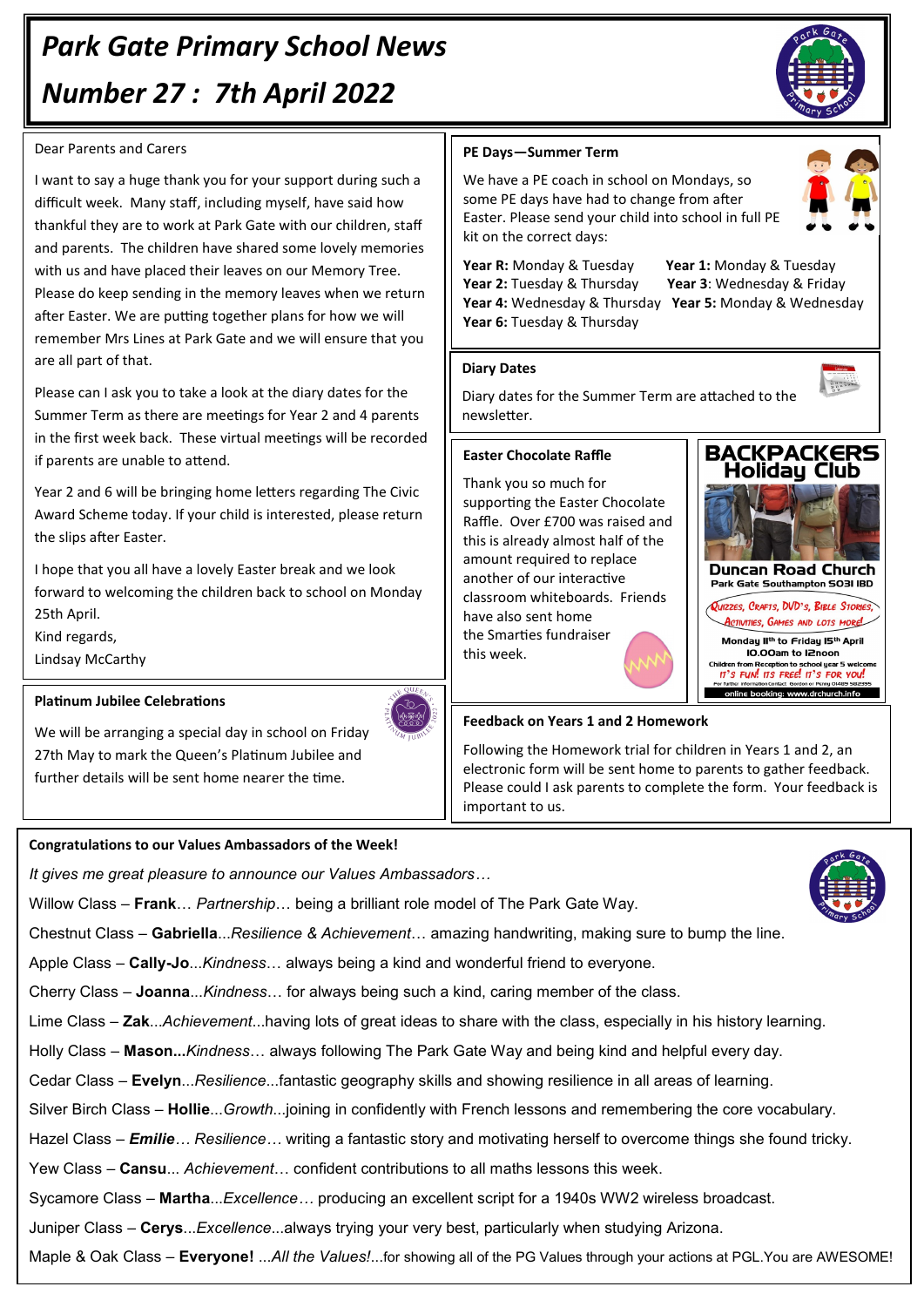# *Park Gate Primary School News Number 27 : 7th April 2022*

## Dear Parents and Carers

I want to say a huge thank you for your support during such a difficult week. Many staff, including myself, have said how thankful they are to work at Park Gate with our children, staff and parents. The children have shared some lovely memories with us and have placed their leaves on our Memory Tree. Please do keep sending in the memory leaves when we return after Easter. We are putting together plans for how we will remember Mrs Lines at Park Gate and we will ensure that you are all part of that.

Please can I ask you to take a look at the diary dates for the Summer Term as there are meetings for Year 2 and 4 parents in the first week back. These virtual meetings will be recorded if parents are unable to attend.

Year 2 and 6 will be bringing home letters regarding The Civic Award Scheme today. If your child is interested, please return the slips after Easter.

I hope that you all have a lovely Easter break and we look forward to welcoming the children back to school on Monday 25th April.

Kind regards,

Lindsay McCarthy

## **Platinum Jubilee Celebrations**

We will be arranging a special day in school on Friday 27th May to mark the Queen's Platinum Jubilee and further details will be sent home nearer the time.

# **Congratulations to our Values Ambassadors of the Week!**

*It gives me great pleasure to announce our Values Ambassadors…*

Willow Class – **Frank**… *Partnership*… being a brilliant role model of The Park Gate Way.

Chestnut Class – **Gabriella**...*Resilience & Achievement*… amazing handwriting, making sure to bump the line.

Apple Class – **Cally-Jo**...*Kindness*… always being a kind and wonderful friend to everyone.

Cherry Class – **Joanna**...*Kindness*… for always being such a kind, caring member of the class.

Lime Class – **Zak**...*Achievement*...having lots of great ideas to share with the class, especially in his history learning.

Holly Class – **Mason...***Kindness*… always following The Park Gate Way and being kind and helpful every day.

Cedar Class – **Evelyn**...*Resilience*...fantastic geography skills and showing resilience in all areas of learning.

Silver Birch Class – **Hollie**...*Growth*...joining in confidently with French lessons and remembering the core vocabulary.

Hazel Class *– Emilie… Resilience…* writing a fantastic story and motivating herself to overcome things she found tricky.

Yew Class – **Cansu**... *Achievement*… confident contributions to all maths lessons this week.

Sycamore Class – **Martha**...*Excellence…* producing an excellent script for a 1940s WW2 wireless broadcast.

Juniper Class – **Cerys**...*Excellence*...always trying your very best, particularly when studying Arizona.

Maple & Oak Class – **Everyone!** ...*All the Values!*...for showing all of the PG Values through your actions at PGL.You are AWESOME!

# **PE Days—Summer Term**

We have a PE coach in school on Mondays, so some PE days have had to change from after Easter. Please send your child into school in full PE kit on the correct days:

**Year R:** Monday & Tuesday **Year 1:** Monday & Tuesday **Year 2:** Tuesday & Thursday **Year 3**: Wednesday & Friday **Year 4:** Wednesday & Thursday **Year 5:** Monday & Wednesday **Year 6:** Tuesday & Thursday

# **Diary Dates**

Diary dates for the Summer Term are attached to the newsletter.

## **Easter Chocolate Raffle**

Thank you so much for supporting the Easter Chocolate Raffle. Over £700 was raised and this is already almost half of the amount required to replace another of our interactive classroom whiteboards. Friends have also sent home the Smarties fundraiser this week.

## **Feedback on Years 1 and 2 Homework**

Following the Homework trial for children in Years 1 and 2, an electronic form will be sent home to parents to gather feedback. Please could I ask parents to complete the form. Your feedback is important to us.





 $\begin{array}{|c|c|} \hline \dots & \dots & \dots & \dots \\ \hline \dots & \dots & \dots & \dots \\ \hline \dots & \dots & \dots & \dots \\ \dots & \dots & \dots & \dots \\ \dots & \dots & \dots & \dots \\ \dots & \dots & \dots & \dots \\ \dots & \dots & \dots & \dots \\ \dots & \dots & \dots & \dots \\ \dots & \dots & \dots & \dots \\ \dots & \dots & \dots & \dots \\ \dots & \dots & \dots & \dots \\ \dots & \dots & \dots & \dots \\ \dots & \dots & \dots & \dots \\ \dots & \dots & \dots & \dots \\ \dots & \dots & \dots & \dots \\ \dots & \dots & \dots & \dots \\ \dots & \dots & \dots$ 

**BACKPACKERS Holiday Club** 

**Duncan Road Church** Park Gate Southampton SO3I IBD QUIZZES, CRAFTS, DVD'S, BIBLE STORIES, ACTIVITIES, GAMES AND LOTS MOREL Monday II<sup>th</sup> to Friday 15<sup>th</sup> April IO.00am to I2noon Children from Reception to school year 5 welcome<br>17'S FUN! 17S FREE! 17'S FOR YOU! online booking: www.drchurch.info